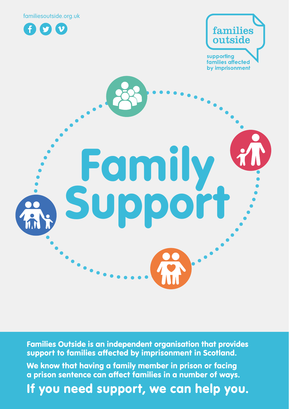





Families Outside is an independent organisation that provides support to families affected by imprisonment in Scotland.

We know that having a family member in prison or facing a prison sentence can affect families in a number of ways.

If you need support, we can help you.